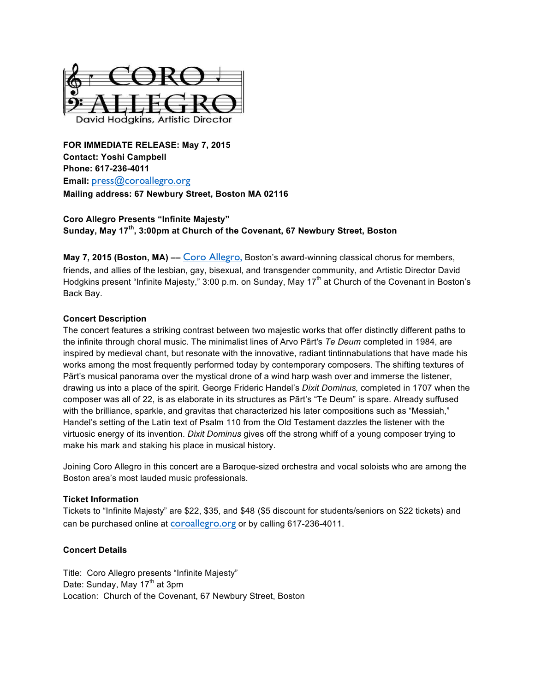

**FOR IMMEDIATE RELEASE: May 7, 2015 Contact: Yoshi Campbell Phone: 617-236-4011 Email:** press@coroallegro.org **Mailing address: 67 Newbury Street, Boston MA 02116**

# **Coro Allegro Presents "Infinite Majesty" Sunday, May 17th, 3:00pm at Church of the Covenant, 67 Newbury Street, Boston**

**May 7, 2015 (Boston, MA) ––** Coro Allegro, Boston's award-winning classical chorus for members, friends, and allies of the lesbian, gay, bisexual, and transgender community, and Artistic Director David Hodgkins present "Infinite Majesty," 3:00 p.m. on Sunday, May 17<sup>th</sup> at Church of the Covenant in Boston's Back Bay.

# **Concert Description**

The concert features a striking contrast between two majestic works that offer distinctly different paths to the infinite through choral music. The minimalist lines of Arvo Pãrt's *Te Deum* completed in 1984, are inspired by medieval chant, but resonate with the innovative, radiant tintinnabulations that have made his works among the most frequently performed today by contemporary composers. The shifting textures of Pärt's musical panorama over the mystical drone of a wind harp wash over and immerse the listener, drawing us into a place of the spirit. George Frideric Handel's *Dixit Dominus,* completed in 1707 when the composer was all of 22, is as elaborate in its structures as Pãrt's "Te Deum" is spare. Already suffused with the brilliance, sparkle, and gravitas that characterized his later compositions such as "Messiah," Handel's setting of the Latin text of Psalm 110 from the Old Testament dazzles the listener with the virtuosic energy of its invention. *Dixit Dominus* gives off the strong whiff of a young composer trying to make his mark and staking his place in musical history.

Joining Coro Allegro in this concert are a Baroque-sized orchestra and vocal soloists who are among the Boston area's most lauded music professionals.

# **Ticket Information**

Tickets to "Infinite Majesty" are \$22, \$35, and \$48 (\$5 discount for students/seniors on \$22 tickets) and can be purchased online at coroallegro.org or by calling 617-236-4011.

# **Concert Details**

Title: Coro Allegro presents "Infinite Majesty" Date: Sunday, May 17<sup>th</sup> at 3pm Location: Church of the Covenant, 67 Newbury Street, Boston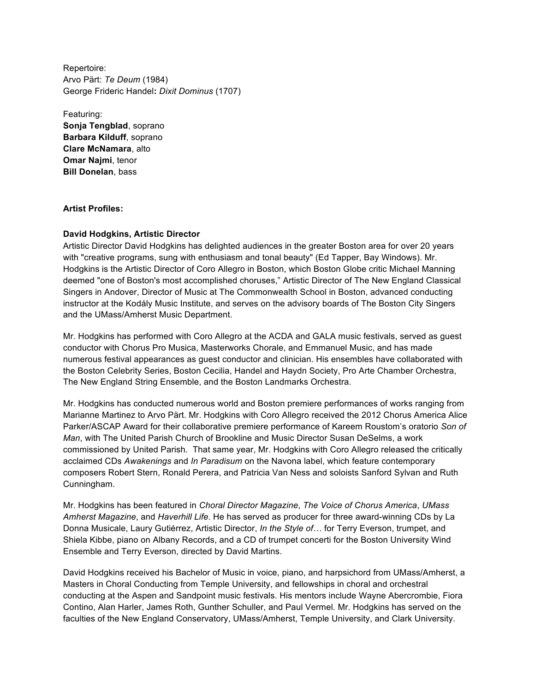Repertoire: Arvo Pärt: *Te Deum* (1984) George Frideric Handel**:** *Dixit Dominus* (1707)

Featuring: **Sonja Tengblad**, soprano **Barbara Kilduff**, soprano **Clare McNamara**, alto **Omar Najmi**, tenor **Bill Donelan**, bass

# **Artist Profiles:**

# **David Hodgkins, Artistic Director**

Artistic Director David Hodgkins has delighted audiences in the greater Boston area for over 20 years with "creative programs, sung with enthusiasm and tonal beauty" (Ed Tapper, Bay Windows). Mr. Hodgkins is the Artistic Director of Coro Allegro in Boston, which Boston Globe critic Michael Manning deemed "one of Boston's most accomplished choruses," Artistic Director of The New England Classical Singers in Andover, Director of Music at The Commonwealth School in Boston, advanced conducting instructor at the Kodály Music Institute, and serves on the advisory boards of The Boston City Singers and the UMass/Amherst Music Department.

Mr. Hodgkins has performed with Coro Allegro at the ACDA and GALA music festivals, served as guest conductor with Chorus Pro Musica, Masterworks Chorale, and Emmanuel Music, and has made numerous festival appearances as guest conductor and clinician. His ensembles have collaborated with the Boston Celebrity Series, Boston Cecilia, Handel and Haydn Society, Pro Arte Chamber Orchestra, The New England String Ensemble, and the Boston Landmarks Orchestra.

Mr. Hodgkins has conducted numerous world and Boston premiere performances of works ranging from Marianne Martinez to Arvo Pärt. Mr. Hodgkins with Coro Allegro received the 2012 Chorus America Alice Parker/ASCAP Award for their collaborative premiere performance of Kareem Roustom's oratorio *Son of Man*, with The United Parish Church of Brookline and Music Director Susan DeSelms, a work commissioned by United Parish. That same year, Mr. Hodgkins with Coro Allegro released the critically acclaimed CDs *Awakenings* and *In Paradisum* on the Navona label, which feature contemporary composers Robert Stern, Ronald Perera, and Patricia Van Ness and soloists Sanford Sylvan and Ruth Cunningham.

Mr. Hodgkins has been featured in *Choral Director Magazine*, *The Voice of Chorus America*, *UMass Amherst Magazine*, and *Haverhill Life*. He has served as producer for three award-winning CDs by La Donna Musicale, Laury Gutiérrez, Artistic Director, *In the Style of…* for Terry Everson, trumpet, and Shiela Kibbe, piano on Albany Records, and a CD of trumpet concerti for the Boston University Wind Ensemble and Terry Everson, directed by David Martins.

David Hodgkins received his Bachelor of Music in voice, piano, and harpsichord from UMass/Amherst, a Masters in Choral Conducting from Temple University, and fellowships in choral and orchestral conducting at the Aspen and Sandpoint music festivals. His mentors include Wayne Abercrombie, Fiora Contino, Alan Harler, James Roth, Gunther Schuller, and Paul Vermel. Mr. Hodgkins has served on the faculties of the New England Conservatory, UMass/Amherst, Temple University, and Clark University.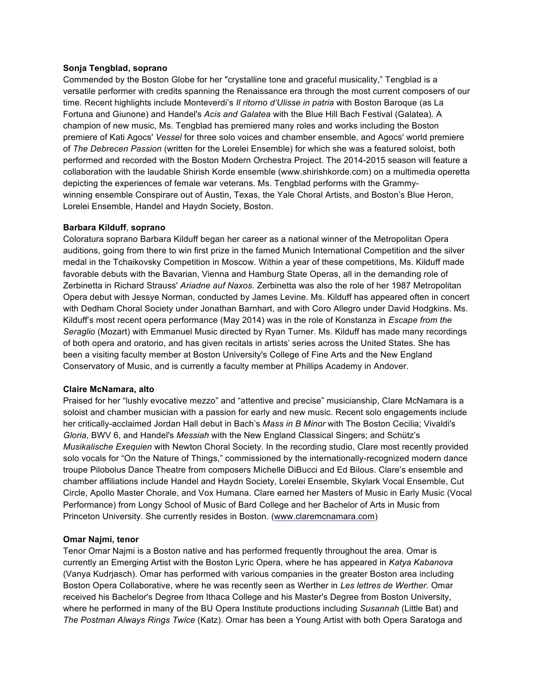# **Sonja Tengblad, soprano**

Commended by the Boston Globe for her "crystalline tone and graceful musicality," Tengblad is a versatile performer with credits spanning the Renaissance era through the most current composers of our time. Recent highlights include Monteverdi's *Il ritorno d'Ulisse in patria* with Boston Baroque (as La Fortuna and Giunone) and Handel's *Acis and Galatea* with the Blue Hill Bach Festival (Galatea). A champion of new music, Ms. Tengblad has premiered many roles and works including the Boston premiere of Kati Agocs' *Vessel* for three solo voices and chamber ensemble, and Agocs' world premiere of *The Debrecen Passion* (written for the Lorelei Ensemble) for which she was a featured soloist, both performed and recorded with the Boston Modern Orchestra Project. The 2014-2015 season will feature a collaboration with the laudable Shirish Korde ensemble (www.shirishkorde.com) on a multimedia operetta depicting the experiences of female war veterans. Ms. Tengblad performs with the Grammywinning ensemble Conspirare out of Austin, Texas, the Yale Choral Artists, and Boston's Blue Heron, Lorelei Ensemble, Handel and Haydn Society, Boston.

# **Barbara Kilduff**, **soprano**

Coloratura soprano Barbara Kilduff began her career as a national winner of the Metropolitan Opera auditions, going from there to win first prize in the famed Munich International Competition and the silver medal in the Tchaikovsky Competition in Moscow. Within a year of these competitions, Ms. Kilduff made favorable debuts with the Bavarian, Vienna and Hamburg State Operas, all in the demanding role of Zerbinetta in Richard Strauss' *Ariadne auf Naxos.* Zerbinetta was also the role of her 1987 Metropolitan Opera debut with Jessye Norman, conducted by James Levine. Ms. Kilduff has appeared often in concert with Dedham Choral Society under Jonathan Barnhart, and with Coro Allegro under David Hodgkins. Ms. Kilduff's most recent opera performance (May 2014) was in the role of Konstanza in *Escape from the Seraglio* (Mozart) with Emmanuel Music directed by Ryan Turner. Ms. Kilduff has made many recordings of both opera and oratorio, and has given recitals in artists' series across the United States. She has been a visiting faculty member at Boston University's College of Fine Arts and the New England Conservatory of Music, and is currently a faculty member at Phillips Academy in Andover.

#### **Claire McNamara, alto**

Praised for her "lushly evocative mezzo" and "attentive and precise" musicianship, Clare McNamara is a soloist and chamber musician with a passion for early and new music. Recent solo engagements include her critically-acclaimed Jordan Hall debut in Bach's *Mass in B Minor* with The Boston Cecilia; Vivaldi's *Gloria*, BWV 6, and Handel's *Messiah* with the New England Classical Singers; and Schütz's *Musikalische Exequien* with Newton Choral Society. In the recording studio, Clare most recently provided solo vocals for "On the Nature of Things," commissioned by the internationally-recognized modern dance troupe Pilobolus Dance Theatre from composers Michelle DiBucci and Ed Bilous. Clare's ensemble and chamber affiliations include Handel and Haydn Society, Lorelei Ensemble, Skylark Vocal Ensemble, Cut Circle, Apollo Master Chorale, and Vox Humana. Clare earned her Masters of Music in Early Music (Vocal Performance) from Longy School of Music of Bard College and her Bachelor of Arts in Music from Princeton University. She currently resides in Boston. (www.claremcnamara.com)

# **Omar Najmi, tenor**

Tenor Omar Najmi is a Boston native and has performed frequently throughout the area. Omar is currently an Emerging Artist with the Boston Lyric Opera, where he has appeared in *Katya Kabanova* (Vanya Kudrjasch). Omar has performed with various companies in the greater Boston area including Boston Opera Collaborative, where he was recently seen as Werther in *Les lettres de Werther*. Omar received his Bachelor's Degree from Ithaca College and his Master's Degree from Boston University, where he performed in many of the BU Opera Institute productions including *Susannah* (Little Bat) and *The Postman Always Rings Twice* (Katz). Omar has been a Young Artist with both Opera Saratoga and